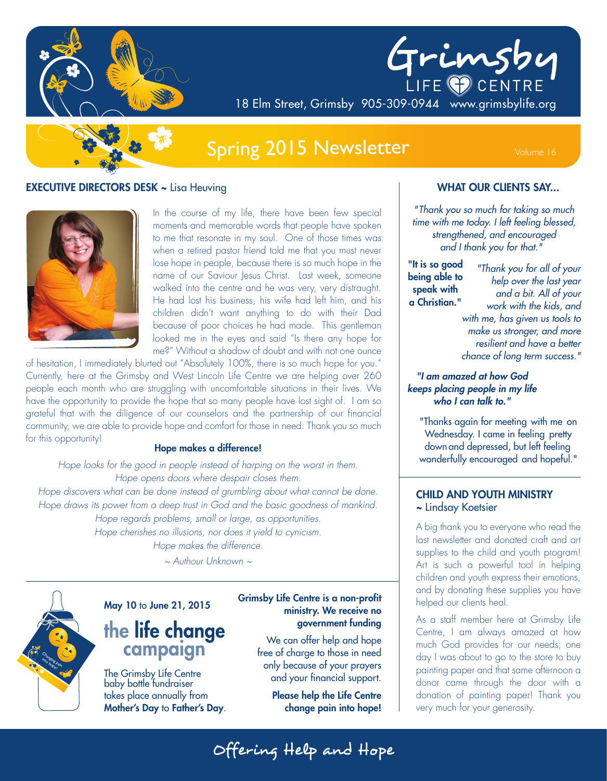

# **Spring 2015 Newsletter**

#### **EXECUTIVE DIRECTORS DESK ~ Lisa Heuving**



In the course of my life, there have been few special moments and memorable words that people have spoken to me that resonate in my soul. One of those times was when a retired pastor friend told me that you must never lose hope in people, because there is so much hope in the name of our Saviour Jesus Christ. Last week, someone walked into the centre and he was very, very distraught. He had lost his business, his wife had left him, and his children didn't want anything to do with their Dad because of poor choices he had made. This gentleman looked me in the eyes and said "Is there any hope for me?" Without a shadow of doubt and with not one ounce

of hesitation, I immediately blurted out "Absolutely 100%, there is so much hope for you." Currently, here at the Grimsby and West Lincoln Life Centre we are helping over 260 people each month who are struggling with uncomfortable situations in their lives. We have the opportunity to provide the hope that so many people have lost sight of. I am so grateful that with the diligence of our counselors and the partnership of our financial community, we are able to provide hope and comfort for those in need. Thank you so much for this opportunity!

#### Hope makes a difference!

Hope looks for the good in people instead of harping on the worst in them. Hope opens doors where despair closes them. Hope discovers what can be done instead of grumbling about what cannot be done. Hope draws its power from a deep trust in God and the basic goodness of mankind. Hope regards problems, small or large, as opportunities. Hope cherishes no illusions, nor does it yield to cynicism. Hope makes the difference.

 $\sim$  Authour Unknown  $\sim$ 



#### May 10 to June 21, 2015

## the life change campaign

The Grimsby Life Centre<br>baby bottle fundraiser takes place annually from Mother's Day to Father's Day.

#### **Grimsby Life Centre is a non-profit** ministry. We receive no government funding

We can offer help and hope free of charge to those in need only because of your prayers and your financial support.

> **Please help the Life Centre** change pain into hope!

#### **WHAT OUR CLIENTS SAY...**

Grimsby

"Thank you so much for taking so much time with me today. I left feeling blessed, strengthened, and encouraged and I thank you for that."

"It is so good being able to speak with a Christian."

18 Elm Street, Grimsby 905-309-0944 www.grimsbylife.org

"Thank you for all of your help over the last year and a bit. All of your work with the kids, and with me, has given us tools to make us stronger, and more resilient and have a better

chance of long term success."

"I am amazed at how God keeps placing people in my life who I can talk to."

"Thanks again for meeting with me on Wednesday. I came in feeling pretty down and depressed, but left feeling wonderfully encouraged and hopeful."

#### **CHILD AND YOUTH MINISTRY** ~ Lindsay Koetsier

A big thank you to everyone who read the last newsletter and donated craft and art supplies to the child and youth program! Art is such a powerful tool in helping children and youth express their emotions, and by donating these supplies you have helped our clients heal.

As a staff member here at Grimsby Life Centre, I am always amazed at how much God provides for our needs; one day I was about to go to the store to buy painting paper and that same afternoon a donor came through the door with a donation of painting paper! Thank you very much for your generosity.

Offering Help and Hope